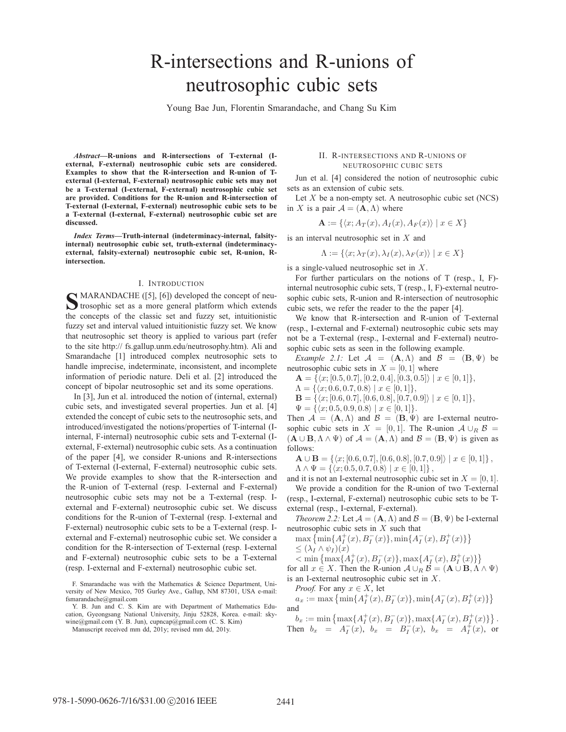# R-intersections and R-unions of neutrosophic cubic sets

Young Bae Jun, Florentin Smarandache, and Chang Su Kim

*Abstract***—R-unions and R-intersections of T-external (Iexternal, F-external) neutrosophic cubic sets are considered. Examples to show that the R-intersection and R-union of Texternal (I-external, F-external) neutrosophic cubic sets may not be a T-external (I-external, F-external) neutrosophic cubic set are provided. Conditions for the R-union and R-intersection of T-external (I-external, F-external) neutrosophic cubic sets to be a T-external (I-external, F-external) neutrosophic cubic set are discussed.**

*Index Terms***—Truth-internal (indeterminacy-internal, falsityinternal) neutrosophic cubic set, truth-external (indeterminacyexternal, falsity-external) neutrosophic cubic set, R-union, Rintersection.**

## I. INTRODUCTION

**S** MARANDACHE ([5], [6]) developed the concept of neu-<br>trosophic set as a more general platform which extends the concepts of the classic set and fuzzy set, intuitionistic fuzzy set and interval valued intuitionistic fuzzy set. We know that neutrosophic set theory is applied to various part (refer to the site http:// fs.gallup.unm.edu/neutrosophy.htm). Ali and Smarandache [1] introduced complex neutrosophic sets to handle imprecise, indeterminate, inconsistent, and incomplete information of periodic nature. Deli et al. [2] introduced the concept of bipolar neutrosophic set and its some operations.

In [3], Jun et al. introduced the notion of (internal, external) cubic sets, and investigated several properties. Jun et al. [4] extended the concept of cubic sets to the neutrosophic sets, and introduced/investigated the notions/properties of T-internal (Iinternal, F-internal) neutrosophic cubic sets and T-external (Iexternal, F-external) neutrosophic cubic sets. As a continuation of the paper [4], we consider R-unions and R-intersections of T-external (I-external, F-external) neutrosophic cubic sets. We provide examples to show that the R-intersection and the R-union of T-external (resp. I-external and F-external) neutrosophic cubic sets may not be a T-external (resp. Iexternal and F-external) neutrosophic cubic set. We discuss conditions for the R-union of T-external (resp. I-external and F-external) neutrosophic cubic sets to be a T-external (resp. Iexternal and F-external) neutrosophic cubic set. We consider a condition for the R-intersection of T-external (resp. I-external and F-external) neutrosophic cubic sets to be a T-external (resp. I-external and F-external) neutrosophic cubic set.

F. Smarandache was with the Mathematics & Science Department, University of New Mexico, 705 Gurley Ave., Gallup, NM 87301, USA e-mail: fsmarandache@gmail.com

Y. B. Jun and C. S. Kim are with Department of Mathematics Education, Gyeongsang National University, Jinju 52828, Korea. e-mail: skywine@gmail.com (Y. B. Jun), cupncap@gmail.com (C. S. Kim)

## II. R-INTERSECTIONS AND R-UNIONS OF NEUTROSOPHIC CUBIC SETS

Jun et al. [4] considered the notion of neutrosophic cubic sets as an extension of cubic sets.

Let  $X$  be a non-empty set. A neutrosophic cubic set (NCS) in X is a pair  $A = (\mathbf{A}, \Lambda)$  where

$$
\mathbf{A} := \{ \langle x; A_T(x), A_I(x), A_F(x) \rangle \mid x \in X \}
$$

is an interval neutrosophic set in  $X$  and

$$
\Lambda := \{ \langle x; \lambda_T(x), \lambda_I(x), \lambda_F(x) \rangle \mid x \in X \}
$$

is a single-valued neutrosophic set in X.

For further particulars on the notions of T (resp., I, F) internal neutrosophic cubic sets, T (resp., I, F)-external neutrosophic cubic sets, R-union and R-intersection of neutrosophic cubic sets, we refer the reader to the the paper [4].

We know that R-intersection and R-union of T-external (resp., I-external and F-external) neutrosophic cubic sets may not be a T-external (resp., I-external and F-external) neutrosophic cubic sets as seen in the following example.

*Example 2.1:* Let  $\mathcal{A} = (\mathbf{A}, \Lambda)$  and  $\mathcal{B} = (\mathbf{B}, \Psi)$  be neutrosophic cubic sets in  $X = [0, 1]$  where

$$
\mathbf{A} = \{ \langle x; [0.5, 0.7], [0.2, 0.4], [0.3, 0.5] \rangle \mid x \in [0, 1] \},\
$$

$$
\Lambda = \{ \langle x; 0.6, 0.7, 0.8 \rangle \mid x \in [0, 1] \},\
$$

 $\mathbf{B} = \{ \langle x; [0.6, 0.7], [0.6, 0.8], [0.7, 0.9] \rangle \mid x \in [0, 1] \},\$ 

$$
\Psi = \{ \langle x; 0.5, 0.9, 0.8 \rangle \mid x \in [0, 1] \}.
$$

Then  $A = (A, \Lambda)$  and  $B = (B, \Psi)$  are I-external neutrosophic cubic sets in  $X = [0, 1]$ . The R-union  $A \cup_B B =$  $({\bf A} \cup {\bf B}, \Lambda \wedge \Psi)$  of  ${\cal A} = ({\bf A}, \Lambda)$  and  ${\cal B} = ({\bf B}, \Psi)$  is given as follows:

 $\mathbf{A} \cup \mathbf{B} = \{ \langle x; [0.6, 0.7], [0.6, 0.8], [0.7, 0.9] \rangle \mid x \in [0, 1] \},$  $\Lambda \wedge \Psi = \{ \langle x; 0.5, 0.7, 0.8 \rangle \mid x \in [0, 1] \},$ 

and it is not an I-external neutrosophic cubic set in  $X = [0, 1]$ . We provide a condition for the R-union of two T-external

(resp., I-external, F-external) neutrosophic cubic sets to be Texternal (resp., I-external, F-external).

*Theorem 2.2:* Let  $\mathcal{A} = (\mathbf{A}, \Lambda)$  and  $\mathcal{B} = (\mathbf{B}, \Psi)$  be I-external neutrosophic cubic sets in  $X$  such that

$$
\max \left\{ \min \{ A_I^+(x), B_I^-(x) \}, \min \{ A_I^-(x), B_I^+(x) \} \right\} < (\lambda_I \wedge \psi_I)(x)
$$

$$
\langle \min\left\{\max\{A_I^+(x), B_I^-(x)\}, \max\{A_I^-(x), B_I^+(x)\}\right\}\rangle
$$

for all  $x \in X$ . Then the R-union  $A \cup_B B = (A \cup B, A \wedge \Psi)$ 

is an I-external neutrosophic cubic set in X.

*Proof.* For any  $x \in X$ , let

 $a_x := \max \{ \min \{ A_I^+(x), B_I^-(x) \}, \min \{ A_I^-(x), B_I^+(x) \} \}$ and

 $b_x := \min \left\{ \max \{ A_I^+(x), B_I^-(x) \}, \max \{ A_I^-(x), B_I^+(x) \} \right\}.$ Then  $b_x = A_I^-(x)$ ,  $b_x = B_I^-(x)$ ,  $b_x = A_I^+(x)$ , or

Manuscript received mm dd, 201y; revised mm dd, 201y.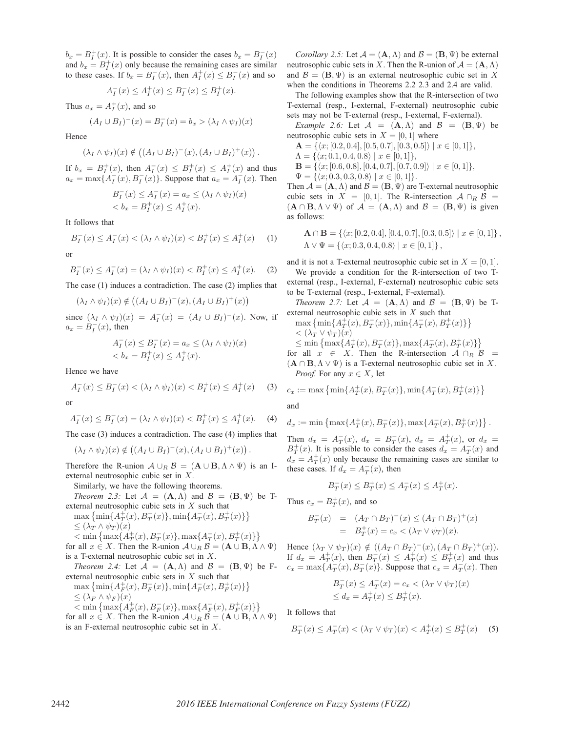$b_x = B_I^+(x)$ . It is possible to consider the cases  $b_x = B_I^-(x)$ and  $b_x = B_I^+(x)$  only because the remaining cases are similar to these cases. If  $b_x = B_I^-(x)$ , then  $A_I^+(x) \le B_I^-(x)$  and so

$$
A_I^-(x) \le A_I^+(x) \le B_I^-(x) \le B_I^+(x).
$$

Thus  $a_x = A_I^+(x)$ , and so

$$
(A_I \cup B_I)^{-}(x) = B_I^{-}(x) = b_x > (\lambda_I \wedge \psi_I)(x)
$$

Hence

$$
(\lambda_I \wedge \psi_I)(x) \notin ((A_I \cup B_I)^{-}(x), (A_I \cup B_I)^{+}(x)).
$$

If  $b_x = B_I^+(x)$ , then  $A_I^-(x) \leq B_I^+(x) \leq A_I^+(x)$  and thus  $a_x = \max\{A_I^-(x), B_I^-(x)\}\.$  Suppose that  $a_x = A_I^-(x)$ . Then

$$
B_I^-(x) \le A_I^-(x) = a_x \le (\lambda_I \wedge \psi_I)(x)
$$
  

$$
< b_x = B_I^+(x) \le A_I^+(x).
$$

It follows that

$$
B_I^-(x) \le A_I^-(x) < (\lambda_I \wedge \psi_I)(x) < B_I^+(x) \le A_I^+(x) \tag{1}
$$

or

$$
B_I^-(x) \le A_I^-(x) = (\lambda_I \wedge \psi_I)(x) < B_I^+(x) \le A_I^+(x). \tag{2}
$$

The case (1) induces a contradiction. The case (2) implies that

$$
(\lambda_I \wedge \psi_I)(x) \notin ((A_I \cup B_I)^{-}(x), (A_I \cup B_I)^{+}(x))
$$

since  $(\lambda_I \wedge \psi_I)(x) = A_I^-(x) = (A_I \cup B_I)^-(x)$ . Now, if  $a_x = B_I^-(x)$ , then

$$
A_I^-(x) \le B_I^-(x) = a_x \le (\lambda_I \wedge \psi_I)(x)
$$
  

$$
\langle b_x = B_I^+(x) \le A_I^+(x).
$$

Hence we have

$$
A_I^-(x) \le B_I^-(x) < (\lambda_I \wedge \psi_I)(x) < B_I^+(x) \le A_I^+(x) \tag{3}
$$

or

$$
A_I^-(x) \le B_I^-(x) = (\lambda_I \wedge \psi_I)(x) < B_I^+(x) \le A_I^+(x). \tag{4}
$$

The case (3) induces a contradiction. The case (4) implies that

 $(\lambda_I \wedge \psi_I)(x) \notin ((A_I \cup B_I)^{-}(x), (A_I \cup B_I)^{+}(x)).$ 

Therefore the R-union  $A \cup_R B = (A \cup B, \Lambda \wedge \Psi)$  is an Iexternal neutrosophic cubic set in X.

Similarly, we have the following theorems.

*Theorem 2.3:* Let  $\mathcal{A} = (\mathbf{A}, \Lambda)$  and  $\mathcal{B} = (\mathbf{B}, \Psi)$  be Texternal neutrosophic cubic sets in  $X$  such that

- $\max \left\{ \min \{ A_T^+(x), B_T^-(x) \}, \min \{ A_T^-(x), B_T^+(x) \} \right\}$  $\leq (\lambda_T \wedge \psi_T)(x)$
- $< \min \left\{ \max \{ A_T^+(x), B_T^-(x) \}, \max \{ A_T^-(x), B_T^+(x) \} \right\}$ for all  $x \in X$ . Then the R-union  $A \cup_R B = (\mathbf{A} \cup \mathbf{B}, \Lambda \wedge \Psi)$ is a T-external neutrosophic cubic set in X.
- *Theorem 2.4:* Let  $\mathcal{A} = (\mathbf{A}, \Lambda)$  and  $\mathcal{B} = (\mathbf{B}, \Psi)$  be Fexternal neutrosophic cubic sets in  $X$  such that

$$
\max \{\min\{A_F^+(x), B_F^-(x)\}, \min\{A_F^-(x), B_F^+(x)\}\}\
$$
  

$$
\leq (\lambda_F \wedge \psi_F)(x) \tag{4.5}
$$

 $<$  min  $\{\max\{A_F^+(x), B_F^-(x)\}, \max\{A_F^-(x), B_F^+(x)\}\}$ for all  $x \in X$ . Then the R-union  $A \cup_B B = (A \cup B, \Lambda \wedge \Psi)$ is an F-external neutrosophic cubic set in X.

*Corollary 2.5:* Let  $A = (\mathbf{A}, \Lambda)$  and  $B = (\mathbf{B}, \Psi)$  be external neutrosophic cubic sets in X. Then the R-union of  $A = (\mathbf{A}, \Lambda)$ and  $\mathcal{B} = (\mathbf{B}, \Psi)$  is an external neutrosophic cubic set in X when the conditions in Theorems 2.2 2.3 and 2.4 are valid.

The following examples show that the R-intersection of two T-external (resp., I-external, F-external) neutrosophic cubic sets may not be T-external (resp., I-external, F-external).

*Example 2.6:* Let  $\mathcal{A} = (\mathbf{A}, \Lambda)$  and  $\mathcal{B} = (\mathbf{B}, \Psi)$  be neutrosophic cubic sets in  $X = [0, 1]$  where

$$
\mathbf{A} = \{ \langle x; [0.2, 0.4], [0.5, 0.7], [0.3, 0.5] \rangle \mid x \in [0, 1] \},\
$$

 $\Lambda = \{ \langle x; 0.1, 0.4, 0.8 \rangle \mid x \in [0, 1] \},\$ 

 $\mathbf{B} = \{ \langle x; [0.6, 0.8], [0.4, 0.7], [0.7, 0.9] \rangle \mid x \in [0, 1] \},\$  $\Psi = \{ \langle x; 0.3, 0.3, 0.8 \rangle \mid x \in [0, 1] \}.$ 

Then  $A = (A, \Lambda)$  and  $B = (B, \Psi)$  are T-external neutrosophic

cubic sets in  $X = [0, 1]$ . The R-intersection  $A \cap_R B =$  $({\bf A} \cap {\bf B}, \Lambda \vee \Psi)$  of  ${\cal A} = ({\bf A}, \Lambda)$  and  ${\cal B} = ({\bf B}, \Psi)$  is given as follows:

$$
\mathbf{A} \cap \mathbf{B} = \{ \langle x; [0.2, 0.4], [0.4, 0.7], [0.3, 0.5] \rangle \mid x \in [0, 1] \},\
$$
  

$$
\Lambda \vee \Psi = \{ \langle x; 0.3, 0.4, 0.8 \rangle \mid x \in [0, 1] \},\
$$

and it is not a T-external neutrosophic cubic set in  $X = [0, 1]$ . We provide a condition for the R-intersection of two T-

external (resp., I-external, F-external) neutrosophic cubic sets to be T-external (resp., I-external, F-external).

*Theorem 2.7:* Let  $\mathcal{A} = (\mathbf{A}, \Lambda)$  and  $\mathcal{B} = (\mathbf{B}, \Psi)$  be Texternal neutrosophic cubic sets in X such that

$$
\max\left\{\min\{A_T^+(x),B_T^-(x)\},\min\{A_T^-(x),B_T^+(x)\}\right\}\leq (\lambda_T \vee \psi_T)(x) \\\leq \min\left\{\max\{A_T^+(x),B_T^-(x)\},\max\{A_T^-(x),B_T^+(x)\}\right\}\nfor all  $x \in X$ . Then the R-intersection  $A \cap_R B =$
$$

 $(A \cap B, \Lambda \vee \Psi)$  is a T-external neutrosophic cubic set in X. *Proof.* For any  $x \in X$ , let

$$
c_x:=\max\left\{\min\{A_T^+(x),B_T^-(x)\},\min\{A_T^-(x),B_T^+(x)\}\right\}
$$

and

$$
d_x := \min\left\{\max\{A_T^+(x), B_T^-(x)\}, \max\{A_T^-(x), B_T^+(x)\}\right\}.
$$

Then  $d_x = A_T^-(x)$ ,  $d_x = B_T^-(x)$ ,  $d_x = A_T^+(x)$ , or  $d_x =$  $B_T^+(x)$ . It is possible to consider the cases  $d_x = A_T^-(x)$  and  $d_x = A_T^+(x)$  only because the remaining cases are similar to these cases. If  $d_x = A_T^-(x)$ , then

$$
B_T^-(x) \le B_T^+(x) \le A_T^-(x) \le A_T^+(x).
$$

Thus  $c_x = B_T^+(x)$ , and so

$$
B_T^-(x) = (A_T \cap B_T)^{-}(x) \le (A_T \cap B_T)^{+}(x) = B_T^{+}(x) = c_x < (\lambda_T \vee \psi_T)(x).
$$

Hence  $(\lambda_T \vee \psi_T)(x) \notin ((A_T \cap B_T)^\top (x), (A_T \cap B_T)^\top (x)).$ If  $d_x = A_T^+(x)$ , then  $B_T^-(x) \le A_T^+(x) \le B_T^+(x)$  and thus  $c_x = \max\{\overline{A}_T^-(x), \overline{B}_T^-(x)\}\.$  Suppose that  $c_x = \overline{A}_T^-(x)$ . Then

$$
B_T^-(x) \le A_T^-(x) = c_x < (\lambda_T \vee \psi_T)(x)
$$
  
\n
$$
\le d_x = A_T^+(x) \le B_T^+(x).
$$

It follows that

$$
B_T^-(x) \le A_T^-(x) < (\lambda_T \vee \psi_T)(x) < A_T^+(x) \le B_T^+(x) \tag{5}
$$